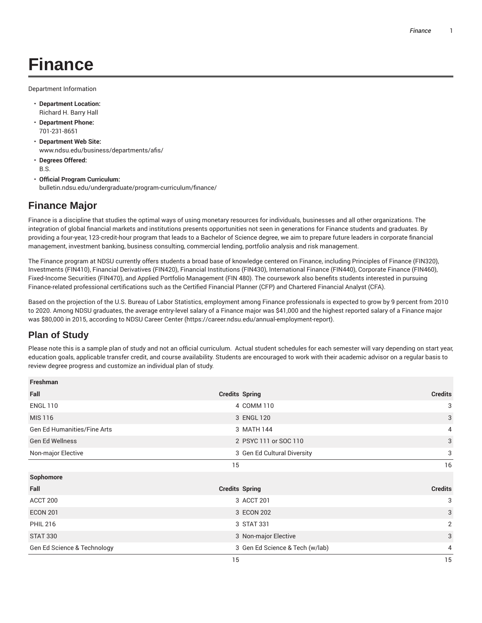## **Finance**

Department Information

- **Department Location:** Richard H. Barry Hall
- **Department Phone:** 701-231-8651
- **Department Web Site:** www.ndsu.edu/business/departments/afis/
- **Degrees Offered:** B.S.
- **Official Program Curriculum:** bulletin.ndsu.edu/undergraduate/program-curriculum/finance/

## **Finance Major**

Finance is a discipline that studies the optimal ways of using monetary resources for individuals, businesses and all other organizations. The integration of global financial markets and institutions presents opportunities not seen in generations for Finance students and graduates. By providing a four-year, 123-credit-hour program that leads to a Bachelor of Science degree, we aim to prepare future leaders in corporate financial management, investment banking, business consulting, commercial lending, portfolio analysis and risk management.

The Finance program at NDSU currently offers students a broad base of knowledge centered on Finance, including Principles of Finance (FIN320), Investments (FIN410), Financial Derivatives (FIN420), Financial Institutions (FIN430), International Finance (FIN440), Corporate Finance (FIN460), Fixed-Income Securities (FIN470), and Applied Portfolio Management (FIN 480). The coursework also benefits students interested in pursuing Finance-related professional certifications such as the Certified Financial Planner (CFP) and Chartered Financial Analyst (CFA).

Based on the projection of the U.S. Bureau of Labor Statistics, employment among Finance professionals is expected to grow by 9 percent from 2010 to 2020. Among NDSU graduates, the average entry-level salary of a Finance major was \$41,000 and the highest reported salary of a Finance major was \$80,000 in 2015, according to NDSU Career Center (https://career.ndsu.edu/annual-employment-report).

## **Plan of Study**

Please note this is a sample plan of study and not an official curriculum. Actual student schedules for each semester will vary depending on start year, education goals, applicable transfer credit, and course availability. Students are encouraged to work with their academic advisor on a regular basis to review degree progress and customize an individual plan of study.

| Freshman                           |                                 |                |
|------------------------------------|---------------------------------|----------------|
| Fall                               | <b>Credits Spring</b>           | <b>Credits</b> |
| <b>ENGL 110</b>                    | 4 COMM 110                      | 3              |
| <b>MIS 116</b>                     | 3 ENGL 120                      | 3              |
| <b>Gen Ed Humanities/Fine Arts</b> | 3 MATH 144                      | 4              |
| <b>Gen Ed Wellness</b>             | 2 PSYC 111 or SOC 110           | $\mathbf{3}$   |
| Non-major Elective                 | 3 Gen Ed Cultural Diversity     | 3              |
|                                    | 15                              | 16             |
| Sophomore                          |                                 |                |
| Fall                               | <b>Credits Spring</b>           | <b>Credits</b> |
| ACCT 200                           | 3 ACCT 201                      | 3              |
| <b>ECON 201</b>                    | 3 ECON 202                      | 3              |
| <b>PHIL 216</b>                    | 3 STAT 331                      | $\overline{2}$ |
| <b>STAT 330</b>                    | 3 Non-major Elective            | 3              |
| Gen Ed Science & Technology        | 3 Gen Ed Science & Tech (w/lab) | 4              |
|                                    | 15                              | 15             |